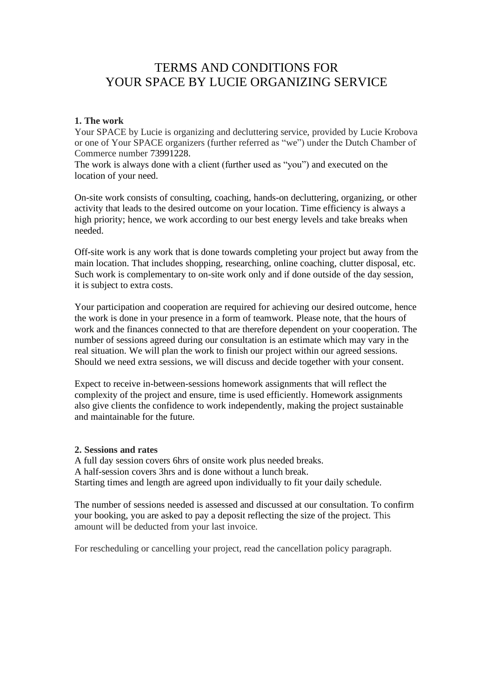# TERMS AND CONDITIONS FOR YOUR SPACE BY LUCIE ORGANIZING SERVICE

## **1. The work**

Your SPACE by Lucie is organizing and decluttering service, provided by Lucie Krobova or one of Your SPACE organizers (further referred as "we") under the Dutch Chamber of Commerce number 73991228.

The work is always done with a client (further used as "you") and executed on the location of your need.

On-site work consists of consulting, coaching, hands-on decluttering, organizing, or other activity that leads to the desired outcome on your location. Time efficiency is always a high priority; hence, we work according to our best energy levels and take breaks when needed.

Off-site work is any work that is done towards completing your project but away from the main location. That includes shopping, researching, online coaching, clutter disposal, etc. Such work is complementary to on-site work only and if done outside of the day session, it is subject to extra costs.

Your participation and cooperation are required for achieving our desired outcome, hence the work is done in your presence in a form of teamwork. Please note, that the hours of work and the finances connected to that are therefore dependent on your cooperation. The number of sessions agreed during our consultation is an estimate which may vary in the real situation. We will plan the work to finish our project within our agreed sessions. Should we need extra sessions, we will discuss and decide together with your consent.

Expect to receive in-between-sessions homework assignments that will reflect the complexity of the project and ensure, time is used efficiently. Homework assignments also give clients the confidence to work independently, making the project sustainable and maintainable for the future.

## **2. Sessions and rates**

A full day session covers 6hrs of onsite work plus needed breaks. A half-session covers 3hrs and is done without a lunch break. Starting times and length are agreed upon individually to fit your daily schedule.

The number of sessions needed is assessed and discussed at our consultation. To confirm your booking, you are asked to pay a deposit reflecting the size of the project. This amount will be deducted from your last invoice.

For rescheduling or cancelling your project, read the cancellation policy paragraph.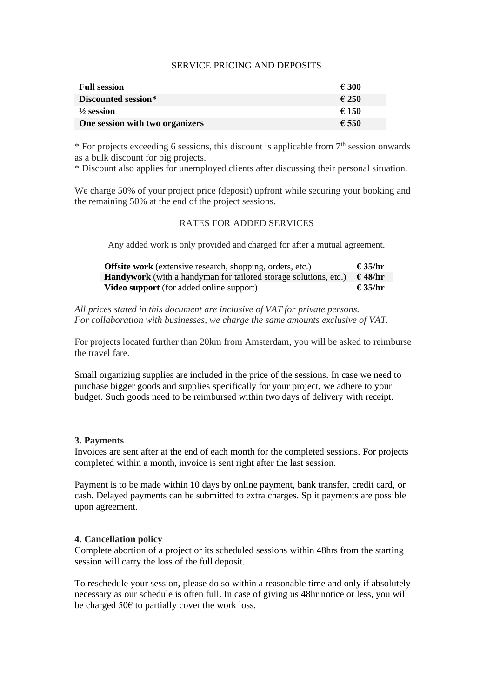#### SERVICE PRICING AND DEPOSITS

| <b>Full session</b>             | $\epsilon$ 300 |
|---------------------------------|----------------|
| Discounted session*             | $\epsilon$ 250 |
| $\frac{1}{2}$ session           | $\epsilon$ 150 |
| One session with two organizers | $\epsilon$ 550 |

 $*$  For projects exceeding 6 sessions, this discount is applicable from  $7<sup>th</sup>$  session onwards as a bulk discount for big projects.

\* Discount also applies for unemployed clients after discussing their personal situation.

We charge 50% of your project price (deposit) upfront while securing your booking and the remaining 50% at the end of the project sessions.

### RATES FOR ADDED SERVICES

Any added work is only provided and charged for after a mutual agreement.

| <b>Offsite work</b> (extensive research, shopping, orders, etc.)                    | $\epsilon$ 35/hr |
|-------------------------------------------------------------------------------------|------------------|
| <b>Handywork</b> (with a handyman for tailored storage solutions, etc.) $\in$ 48/hr |                  |
| <b>Video support</b> (for added online support)                                     | $\epsilon$ 35/hr |

*All prices stated in this document are inclusive of VAT for private persons. For collaboration with businesses, we charge the same amounts exclusive of VAT.* 

For projects located further than 20km from Amsterdam, you will be asked to reimburse the travel fare.

Small organizing supplies are included in the price of the sessions. In case we need to purchase bigger goods and supplies specifically for your project, we adhere to your budget. Such goods need to be reimbursed within two days of delivery with receipt.

### **3. Payments**

Invoices are sent after at the end of each month for the completed sessions. For projects completed within a month, invoice is sent right after the last session.

Payment is to be made within 10 days by online payment, bank transfer, credit card, or cash. Delayed payments can be submitted to extra charges. Split payments are possible upon agreement.

#### **4. Cancellation policy**

Complete abortion of a project or its scheduled sessions within 48hrs from the starting session will carry the loss of the full deposit.

To reschedule your session, please do so within a reasonable time and only if absolutely necessary as our schedule is often full. In case of giving us 48hr notice or less, you will be charged  $50 \text{ } \infty$  to partially cover the work loss.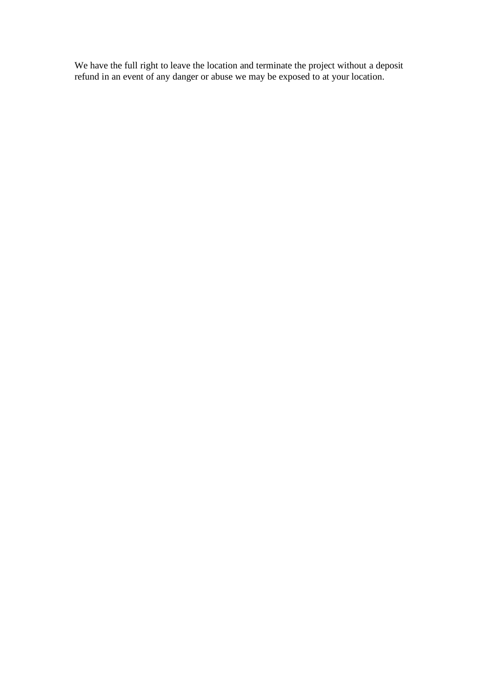We have the full right to leave the location and terminate the project without a deposit refund in an event of any danger or abuse we may be exposed to at your location.